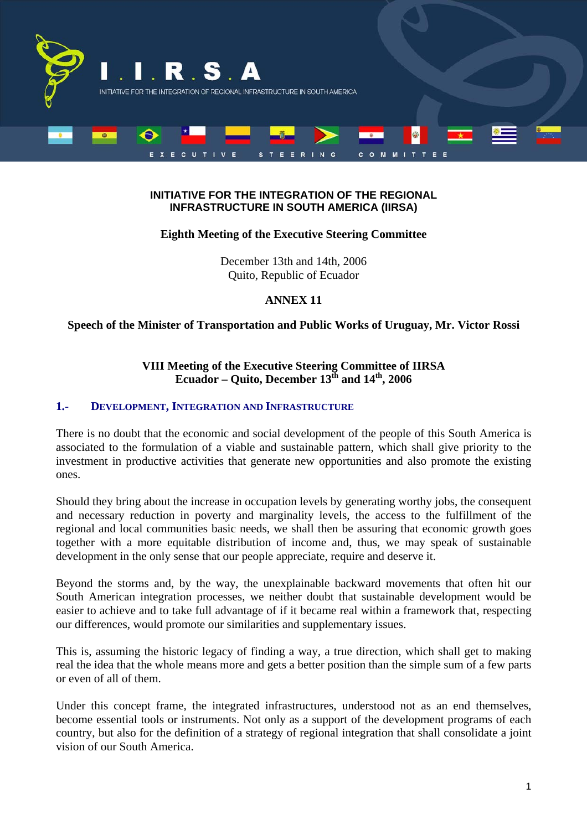

#### **INITIATIVE FOR THE INTEGRATION OF THE REGIONAL INFRASTRUCTURE IN SOUTH AMERICA (IIRSA)**

# **Eighth Meeting of the Executive Steering Committee**

December 13th and 14th, 2006 Quito, Republic of Ecuador

# **ANNEX 11**

# **Speech of the Minister of Transportation and Public Works of Uruguay, Mr. Victor Rossi**

# **VIII Meeting of the Executive Steering Committee of IIRSA**  Ecuador – Quito, December 13<sup>th</sup> and 14<sup>th</sup>, 2006

#### **1.- DEVELOPMENT, INTEGRATION AND INFRASTRUCTURE**

There is no doubt that the economic and social development of the people of this South America is associated to the formulation of a viable and sustainable pattern, which shall give priority to the investment in productive activities that generate new opportunities and also promote the existing ones.

Should they bring about the increase in occupation levels by generating worthy jobs, the consequent and necessary reduction in poverty and marginality levels, the access to the fulfillment of the regional and local communities basic needs, we shall then be assuring that economic growth goes together with a more equitable distribution of income and, thus, we may speak of sustainable development in the only sense that our people appreciate, require and deserve it.

Beyond the storms and, by the way, the unexplainable backward movements that often hit our South American integration processes, we neither doubt that sustainable development would be easier to achieve and to take full advantage of if it became real within a framework that, respecting our differences, would promote our similarities and supplementary issues.

This is, assuming the historic legacy of finding a way, a true direction, which shall get to making real the idea that the whole means more and gets a better position than the simple sum of a few parts or even of all of them.

Under this concept frame, the integrated infrastructures, understood not as an end themselves, become essential tools or instruments. Not only as a support of the development programs of each country, but also for the definition of a strategy of regional integration that shall consolidate a joint vision of our South America.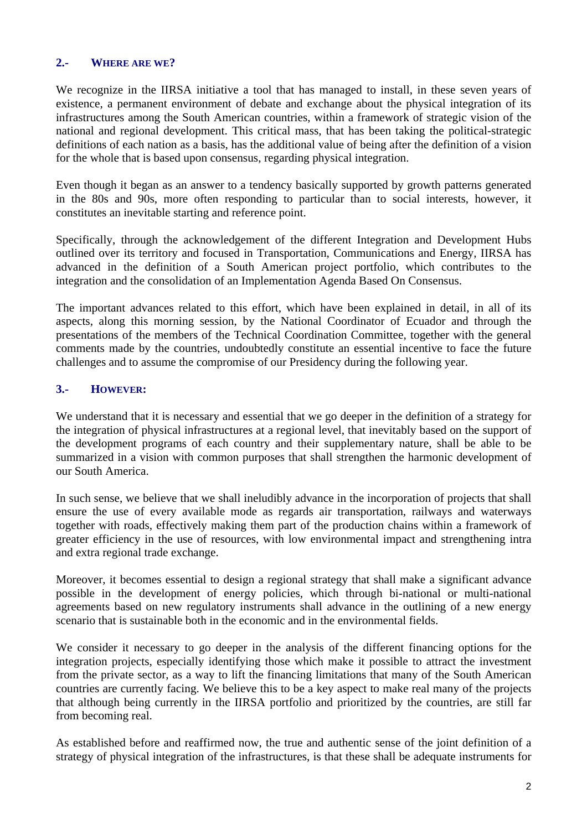# **2.- WHERE ARE WE?**

We recognize in the IIRSA initiative a tool that has managed to install, in these seven years of existence, a permanent environment of debate and exchange about the physical integration of its infrastructures among the South American countries, within a framework of strategic vision of the national and regional development. This critical mass, that has been taking the political-strategic definitions of each nation as a basis, has the additional value of being after the definition of a vision for the whole that is based upon consensus, regarding physical integration.

Even though it began as an answer to a tendency basically supported by growth patterns generated in the 80s and 90s, more often responding to particular than to social interests, however, it constitutes an inevitable starting and reference point.

Specifically, through the acknowledgement of the different Integration and Development Hubs outlined over its territory and focused in Transportation, Communications and Energy, IIRSA has advanced in the definition of a South American project portfolio, which contributes to the integration and the consolidation of an Implementation Agenda Based On Consensus.

The important advances related to this effort, which have been explained in detail, in all of its aspects, along this morning session, by the National Coordinator of Ecuador and through the presentations of the members of the Technical Coordination Committee, together with the general comments made by the countries, undoubtedly constitute an essential incentive to face the future challenges and to assume the compromise of our Presidency during the following year.

# **3.- HOWEVER:**

We understand that it is necessary and essential that we go deeper in the definition of a strategy for the integration of physical infrastructures at a regional level, that inevitably based on the support of the development programs of each country and their supplementary nature, shall be able to be summarized in a vision with common purposes that shall strengthen the harmonic development of our South America.

In such sense, we believe that we shall ineludibly advance in the incorporation of projects that shall ensure the use of every available mode as regards air transportation, railways and waterways together with roads, effectively making them part of the production chains within a framework of greater efficiency in the use of resources, with low environmental impact and strengthening intra and extra regional trade exchange.

Moreover, it becomes essential to design a regional strategy that shall make a significant advance possible in the development of energy policies, which through bi-national or multi-national agreements based on new regulatory instruments shall advance in the outlining of a new energy scenario that is sustainable both in the economic and in the environmental fields.

We consider it necessary to go deeper in the analysis of the different financing options for the integration projects, especially identifying those which make it possible to attract the investment from the private sector, as a way to lift the financing limitations that many of the South American countries are currently facing. We believe this to be a key aspect to make real many of the projects that although being currently in the IIRSA portfolio and prioritized by the countries, are still far from becoming real.

As established before and reaffirmed now, the true and authentic sense of the joint definition of a strategy of physical integration of the infrastructures, is that these shall be adequate instruments for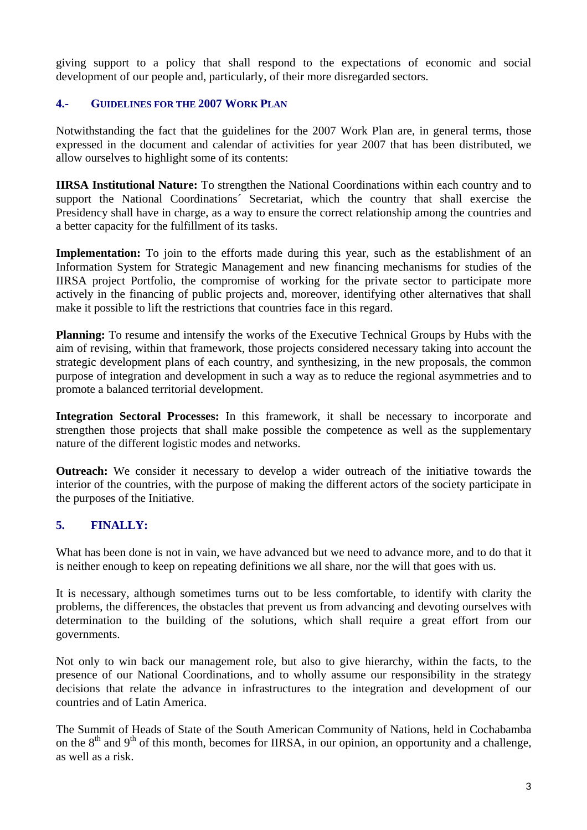giving support to a policy that shall respond to the expectations of economic and social development of our people and, particularly, of their more disregarded sectors.

# **4.- GUIDELINES FOR THE 2007 WORK PLAN**

Notwithstanding the fact that the guidelines for the 2007 Work Plan are, in general terms, those expressed in the document and calendar of activities for year 2007 that has been distributed, we allow ourselves to highlight some of its contents:

**IIRSA Institutional Nature:** To strengthen the National Coordinations within each country and to support the National Coordinations´ Secretariat, which the country that shall exercise the Presidency shall have in charge, as a way to ensure the correct relationship among the countries and a better capacity for the fulfillment of its tasks.

Implementation: To join to the efforts made during this year, such as the establishment of an Information System for Strategic Management and new financing mechanisms for studies of the IIRSA project Portfolio, the compromise of working for the private sector to participate more actively in the financing of public projects and, moreover, identifying other alternatives that shall make it possible to lift the restrictions that countries face in this regard.

**Planning:** To resume and intensify the works of the Executive Technical Groups by Hubs with the aim of revising, within that framework, those projects considered necessary taking into account the strategic development plans of each country, and synthesizing, in the new proposals, the common purpose of integration and development in such a way as to reduce the regional asymmetries and to promote a balanced territorial development.

**Integration Sectoral Processes:** In this framework, it shall be necessary to incorporate and strengthen those projects that shall make possible the competence as well as the supplementary nature of the different logistic modes and networks.

**Outreach:** We consider it necessary to develop a wider outreach of the initiative towards the interior of the countries, with the purpose of making the different actors of the society participate in the purposes of the Initiative.

# **5. FINALLY:**

What has been done is not in vain, we have advanced but we need to advance more, and to do that it is neither enough to keep on repeating definitions we all share, nor the will that goes with us.

It is necessary, although sometimes turns out to be less comfortable, to identify with clarity the problems, the differences, the obstacles that prevent us from advancing and devoting ourselves with determination to the building of the solutions, which shall require a great effort from our governments.

Not only to win back our management role, but also to give hierarchy, within the facts, to the presence of our National Coordinations, and to wholly assume our responsibility in the strategy decisions that relate the advance in infrastructures to the integration and development of our countries and of Latin America.

The Summit of Heads of State of the South American Community of Nations, held in Cochabamba on the  $8<sup>th</sup>$  and  $9<sup>th</sup>$  of this month, becomes for IIRSA, in our opinion, an opportunity and a challenge, as well as a risk.